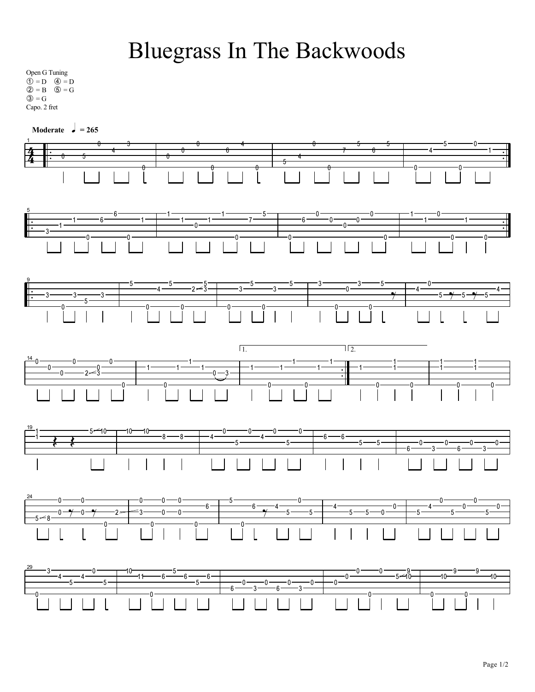## **Bluegrass In The Backwoods**

Open G Tuning  $\overrightarrow{0}$  = D  $\overrightarrow{4}$  = D  $(2) = B$   $(5) = G$  $\circled{3} = G$ Capo. 2 fret